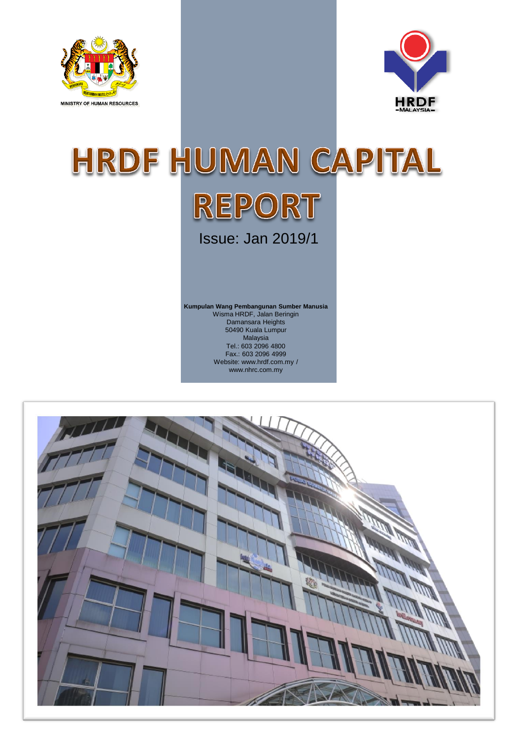



## HRDF HUMAN CAPITAL REPORT Issue: Jan 2019/1

**Kumpulan Wang Pembangunan Sumber Manusia** Wisma HRDF, Jalan Beringin Damansara Heights 50490 Kuala Lumpur Malaysia Tel.: 603 2096 4800 Fax.: 603 2096 4999 Website: www.hrdf.com.my / www.nhrc.com.my

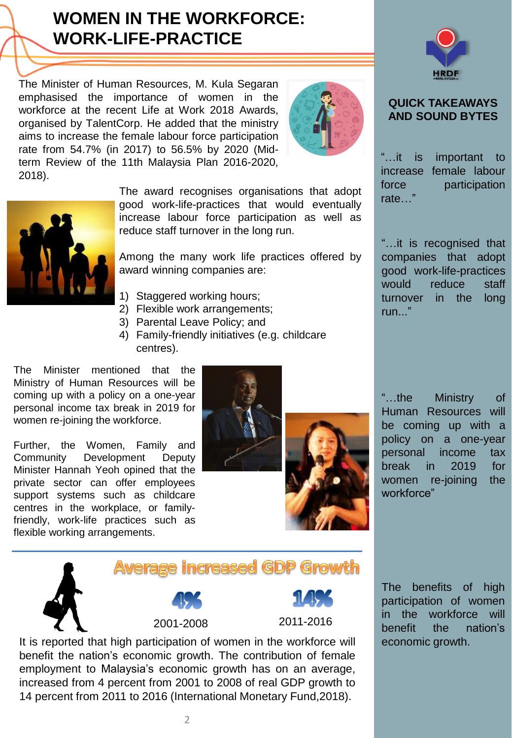### **[WOMEN IN THE WORKFORCE:](http://www.google.com/url?sa=i&rct=j&q=&esrc=s&frm=1&source=images&cd=&cad=rja&uact=8&ved=2ahUKEwj38_mJtsbeAhXDXisKHWfxDP4QjRx6BAgBEAU&url=http://www.transparentpng.com/cats/lines-1247.html&psig=AOvVaw0XhQmCf158P5Bq4r5NxUre&ust=1541812512033239) WORK-LIFE-PRACTICE**

The Minister of Human Resources, M. Kula Segaran emphasised the importance of women in the workforce at the recent Life at Work 2018 Awards, organised by TalentCorp. He added that the ministry aims to increase the female labour force participation rate from 54.7% (in 2017) to 56.5% by 2020 (Midterm Review of the 11th Malaysia Plan 2016-2020, 2018).





The award recognises organisations that adopt good work-life-practices that would eventually increase labour force participation as well as reduce staff turnover in the long run.

Among the many work life practices offered by award winning companies are:

- 1) Staggered working hours;
- 2) Flexible work arrangements;
- 3) Parental Leave Policy; and
- 4) Family-friendly initiatives (e.g. childcare centres).

The Minister mentioned that the Ministry of Human Resources will be coming up with a policy on a one-year personal income tax break in 2019 for women re-joining the workforce.

Further, the Women, Family and Community Development Deputy Minister Hannah Yeoh opined that the private sector can offer employees support systems such as childcare centres in the workplace, or familyfriendly, work-life practices such as flexible working arrangements.







#### **QUICK TAKEAWAYS AND SOUND BYTES**

"…it is important to increase female labour force participation rate…"

"…it is recognised that companies that adopt good work-life-practices would reduce staff turnover in the long run..."

"…the Ministry of Human Resources will be coming up with a policy on a one-year personal income tax break in 2019 for women re-joining the workforce"

**Average increased GDP Growth** 2001-2008 2011-2016 It is reported that high participation of women in the workforce will

benefit the nation's economic growth. The contribution of female employment to Malaysia's economic growth has on an average, increased from 4 percent from 2001 to 2008 of real GDP growth to 14 percent from 2011 to 2016 (International Monetary Fund,2018).

The benefits of high participation of women in the workforce will benefit the nation's economic growth.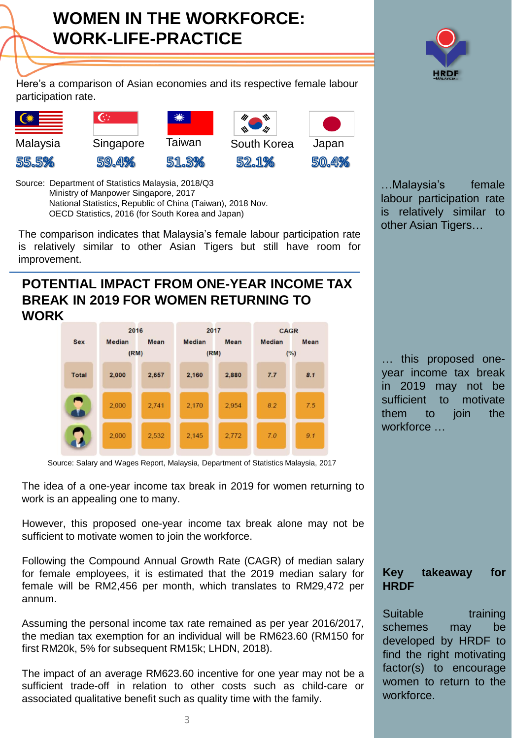Here's a comparison of Asian economies and its respective female labour participation rate.

 $\mathbf{G}$ Malaysia Singapore Taiwan South Korea Japan 55.5% 59.4% 51.3% 52.1%

50.4%

Source: Department of Statistics Malaysia, 2018/Q3 Ministry of Manpower Singapore, 2017 National Statistics, Republic of China (Taiwan), 2018 Nov. OECD Statistics, 2016 (for South Korea and Japan)

The comparison indicates that Malaysia's female labour participation rate is relatively similar to other Asian Tigers but still have room for improvement.

#### **POTENTIAL IMPACT FROM ONE-YEAR INCOME TAX BREAK IN 2019 FOR WOMEN RETURNING TO WORK**



Source: Salary and Wages Report, Malaysia, Department of Statistics Malaysia, 2017

The idea of a one-year income tax break in 2019 for women returning to work is an appealing one to many.

However, this proposed one-year income tax break alone may not be sufficient to motivate women to join the workforce.

Following the Compound Annual Growth Rate (CAGR) of median salary for female employees, it is estimated that the 2019 median salary for female will be RM2,456 per month, which translates to RM29,472 per annum.

Assuming the personal income tax rate remained as per year 2016/2017, the median tax exemption for an individual will be RM623.60 (RM150 for first RM20k, 5% for subsequent RM15k; LHDN, 2018).

The impact of an average RM623.60 incentive for one year may not be a sufficient trade-off in relation to other costs such as child-care or associated qualitative benefit such as quality time with the family.

…Malaysia's female labour participation rate is relatively similar to other Asian Tigers…

… this proposed oneyear income tax break in 2019 may not be sufficient to motivate them to join the workforce …

### **Key takeaway for HRDF**

Suitable training schemes may be developed by HRDF to find the right motivating factor(s) to encourage women to return to the workforce.